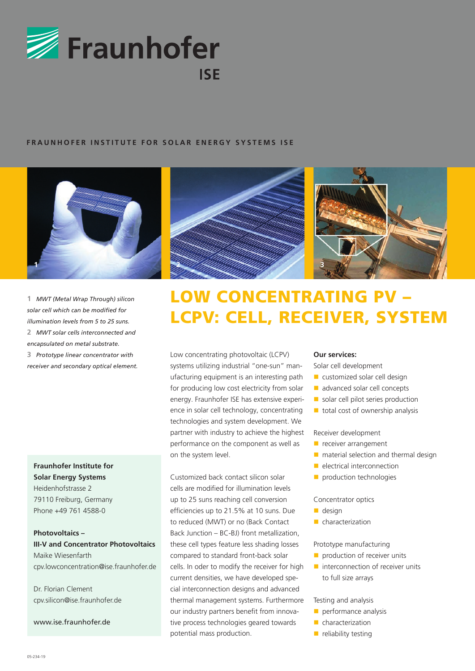

# **FRAUNHOFER INSTITUTE FOR SOLAR ENERGY SYSTEMS ISE**



**1** *MWT (Metal Wrap Through) silicon solar cell which can be modified for illumination levels from 5 to 25 suns.* **2** *MWT solar cells interconnected and encapsulated on metal substrate.* **3** *Prototype linear concentrator with receiver and secondary optical element.*

**Fraunhofer Institute for Solar Energy Systems** Heidenhofstrasse 2 79110 Freiburg, Germany Phone +49 761 4588-0

**Photovoltaics – III-V and Concentrator Photovoltaics**  Maike Wiesenfarth cpv.lowconcentration@ise.fraunhofer.de

Dr. Florian Clement cpv.silicon@ise.fraunhofer.de

www.ise.fraunhofer.de





# LOW CONCENTRATING PV – LCPV: CELL, RECEIVER, SYSTEM

Low concentrating photovoltaic (LCPV) systems utilizing industrial "one-sun" manufacturing equipment is an interesting path for producing low cost electricity from solar energy. Fraunhofer ISE has extensive experience in solar cell technology, concentrating technologies and system development. We partner with industry to achieve the highest performance on the component as well as on the system level.

Customized back contact silicon solar cells are modified for illumination levels up to 25 suns reaching cell conversion efficiencies up to 21.5% at 10 suns. Due to reduced (MWT) or no (Back Contact Back Junction – BC-BJ) front metallization, these cell types feature less shading losses compared to standard front-back solar cells. In oder to modify the receiver for high current densities, we have developed special interconnection designs and advanced thermal management systems. Furthermore our industry partners benefit from innovative process technologies geared towards potential mass production.

#### **Our services:**

Solar cell development

- $\blacksquare$  customized solar cell design
- advanced solar cell concepts
- $\blacksquare$  solar cell pilot series production
- $\blacksquare$  total cost of ownership analysis

Receiver development

- $\blacksquare$  receiver arrangement
- $\blacksquare$  material selection and thermal design
- n electrical interconnection
- $\blacksquare$  production technologies

Concentrator optics

- $\blacksquare$  design
- $\blacksquare$  characterization

Prototype manufacturing

- $\blacksquare$  production of receiver units
- $\blacksquare$  interconnection of receiver units to full size arrays

Testing and analysis

- $\blacksquare$  performance analysis
- $\blacksquare$  characterization
- $\blacksquare$  reliability testing